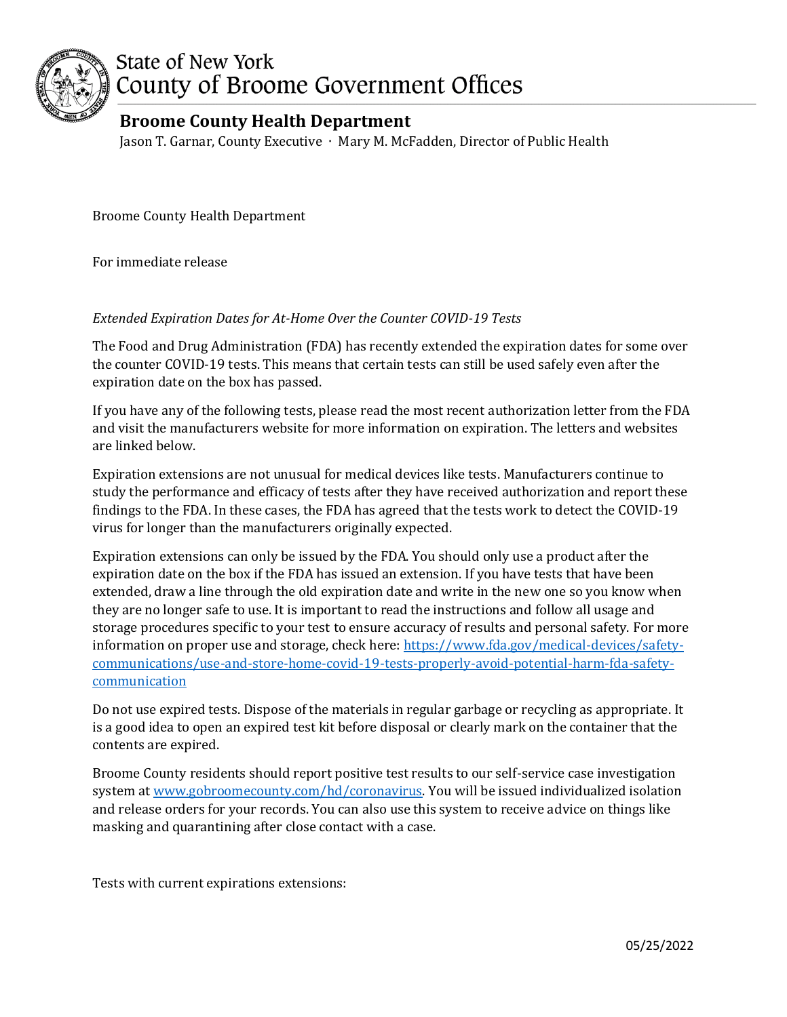

# **State of New York** County of Broome Government Offices

## **Broome County Health Department**

Jason T. Garnar, County Executive ∙ Mary M. McFadden, Director of Public Health

Broome County Health Department

For immediate release

### *Extended Expiration Dates for At-Home Over the Counter COVID-19 Tests*

The Food and Drug Administration (FDA) has recently extended the expiration dates for some over the counter COVID-19 tests. This means that certain tests can still be used safely even after the expiration date on the box has passed.

If you have any of the following tests, please read the most recent authorization letter from the FDA and visit the manufacturers website for more information on expiration. The letters and websites are linked below.

Expiration extensions are not unusual for medical devices like tests. Manufacturers continue to study the performance and efficacy of tests after they have received authorization and report these findings to the FDA. In these cases, the FDA has agreed that the tests work to detect the COVID-19 virus for longer than the manufacturers originally expected.

Expiration extensions can only be issued by the FDA. You should only use a product after the expiration date on the box if the FDA has issued an extension. If you have tests that have been extended, draw a line through the old expiration date and write in the new one so you know when they are no longer safe to use. It is important to read the instructions and follow all usage and storage procedures specific to your test to ensure accuracy of results and personal safety. For more information on proper use and storage, check here: https://www.fda.gov/medical-devices/safetycommunications/use-and-store-home-covid-19-tests-properly-avoid-potential-harm-fda-safetycommunication

Do not use expired tests. Dispose of the materials in regular garbage or recycling as appropriate. It is a good idea to open an expired test kit before disposal or clearly mark on the container that the contents are expired.

Broome County residents should report positive test results to our self-service case investigation system at www.gobroomecounty.com/hd/coronavirus. You will be issued individualized isolation and release orders for your records. You can also use this system to receive advice on things like masking and quarantining after close contact with a case.

Tests with current expirations extensions: